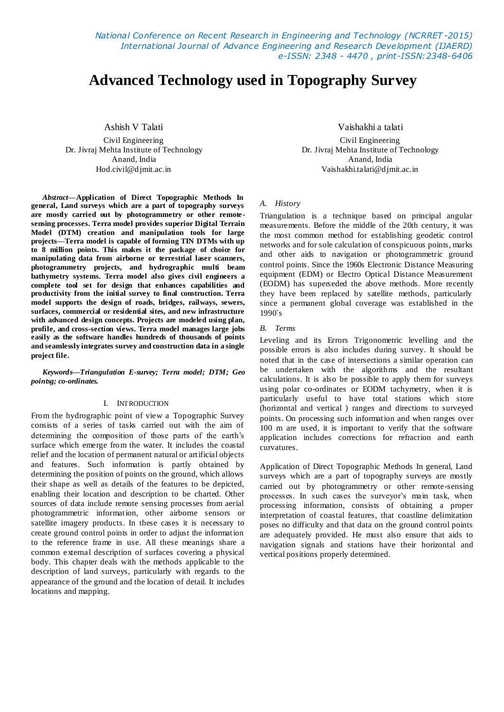*National Conference on Recent Research in Engineering and Technology (NCRRET -2015) International Journal of Advance Engineering and Research Development (IJAERD) e-ISSN: 2348 - 4470 , print-ISSN:2348-6406*

# **Advanced Technology used in Topography Survey**

Ashish V Talati Civil Engineering Dr. Jivraj Mehta Institute of Technology Anand, India Hod.civil@djmit.ac.in

*Abstract***—Application of Direct Topographic Methods In general, Land surveys which are a part of topography surveys are mostly carried out by photogrammetry or other remote sensing processes. Terra model provides superior Digital Terrain Model (DTM) creation and manipulation tools for large projects—Terra model is capable of forming TIN DTMs with up to 8 million points. This makes it the package of choice for manipulating data from airborne or terrestrial laser scanners, photogrammetry projects, and hydrographic multi beam bathymetry systems. Terra model also gives civil engineers a complete tool set for design that enhances capabilities and productivity from the initial survey to final construction. Terra model supports the design of roads, bridges, railways, sewers, surfaces, commercial or residential sites, and new infrastructure with advanced design concepts. Projects are modeled using plan, profile, and cross-section views. Terra model manages large jobs easily as the software handles hundreds of thousands of points and seamlessly integrates survey and construction data in a single project file.**

*Keywords—Triangulation E-survey; Terra model; DTM; Geo pointsg; co-ordinates.*

#### I. INTRODUCTION

From the hydrographic point of view a Topographic Survey consists of a series of tasks carried out with the aim of determining the composition of those parts of the earth's surface which emerge from the water. It includes the coastal relief and the location of permanent natural or artificial objects and features. Such information is partly obtained by determining the position of points on the ground, which allows their shape as well as details of the features to be depicted, enabling their location and description to be charted. Other sources of data include remote sensing processes from aerial photogrammetric information, other airborne sensors or satellite imagery products. In these cases it is necessary to create ground control points in order to adjust the information to the reference frame in use. All these meanings share a common external description of surfaces covering a physical body. This chapter deals with the methods applicable to the description of land surveys, particularly with regards to the appearance of the ground and the location of detail. It includes locations and mapping.

Vaishakhi a talati Civil Engineering Dr. Jivraj Mehta Institute of Technology Anand, India Vaishakhi.talati@djmit.ac.in

### *A. History*

Triangulation is a technique based on principal angular measurements. Before the middle of the 20th century, it was the most common method for establishing geodetic control networks and for sole calculation of conspicuous points, marks and other aids to navigation or photogrammetric ground control points. Since the 1960s Electronic Distance Measuring equipment (EDM) or Electro Optical Distance Measurement (EODM) has superseded the above methods. More recently they have been replaced by satellite methods, particularly since a permanent global coverage was established in the 1990´s

#### *B. Terms*

Leveling and its Errors Trigonometric levelling and the possible errors is also includes during survey. It should be noted that in the case of intersections a similar operation can be undertaken with the algorithms and the resultant calculations. It is also be possible to apply them for surveys using polar co-ordinates or EODM tachymetry, when it is particularly useful to have total stations which store (horizontal and vertical ) ranges and directions to surveyed points. On processing such information and when ranges over 100 m are used, it is important to verify that the software application includes corrections for refraction and earth curvatures.

Application of Direct Topographic Methods In general, Land surveys which are a part of topography surveys are mostly carried out by photogrammetry or other remote-sensing processes. In such cases the surveyor's main task, when processing information, consists of obtaining a proper interpretation of coastal features, that coastline delimitation poses no difficulty and that data on the ground control points are adequately provided. He must also ensure that aids to navigation signals and stations have their horizontal and vertical positions properly determined.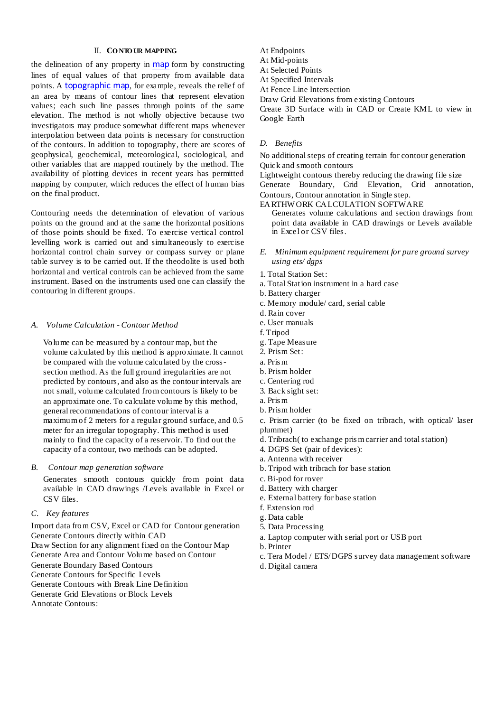## II. **CO NTO UR MAPPING**

the delineation of any property in [map](http://www.britannica.com/EBchecked/topic/363506/map) form by constructing lines of equal values of that property from available data points. A [topographic](http://www.britannica.com/EBchecked/topic/599648/topographic-map) map, for example, reveals the relief of an area by means of contour lines that represent elevation values; each such line passes through points of the same elevation. The method is not wholly objective because two investigators may produce somewhat different maps whenever interpolation between data points is necessary for construction of the contours. In addition to topography, there are scores of geophysical, geochemical, meteorological, sociological, and other variables that are mapped routinely by the method. The availability of plotting devices in recent years has permitted mapping by computer, which reduces the effect of human bias on the final product.

Contouring needs the determination of elevation of various points on the ground and at the same the horizontal positions of those points should be fixed. To exercise vertical control levelling work is carried out and simultaneously to exercise horizontal control chain survey or compass survey or plane table survey is to be carried out. If the theodolite is used both horizontal and vertical controls can be achieved from the same instrument. Based on the instruments used one can classify the contouring in different groups.

#### *A. Volume Calculation - Contour Method*

Volume can be measured by a contour map, but the volume calculated by this method is approximate. It cannot be compared with the volume calculated by the crosssection method. As the full ground irregularities are not predicted by contours, and also as the contour intervals are not small, volume calculated from contours is likely to be an approximate one. To calculate volume by this method, general recommendations of contour interval is a maximum of 2 meters for a regular ground surface, and 0.5 meter for an irregular topography. This method is used mainly to find the capacity of a reservoir. To find out the capacity of a contour, two methods can be adopted.

#### *B. Contour map generation software*

Generates smooth contours quickly from point data available in CAD drawings /Levels available in Excel or CSV files.

#### *C. Key features*

Import data from CSV, Excel or CAD for Contour generation Generate Contours directly within CAD Draw Section for any alignment fixed on the Contour Map Generate Area and Contour Volume based on Contour Generate Boundary Based Contours Generate Contours for Specific Levels Generate Contours with Break Line Definition Generate Grid Elevations or Block Levels Annotate Contours:

At Endpoints

- At Mid-points
- At Selected Points
- At Specified Intervals
- At Fence Line Intersection

Draw Grid Elevations from existing Contours

Create 3D Surface with in CAD or Create KML to view in Google Earth

## *D. Benefits*

No additional steps of creating terrain for contour generation Quick and smooth contours

Lightweight contours thereby reducing the drawing file size Generate Boundary, Grid Elevation, Grid annotation, Contours, Contour annotation in Single step.

EARTHW ORK CALCULATION SOFTWARE

Generates volume calculations and section drawings from point data available in CAD drawings or Levels available in Excel or CSV files.

- *E. Minimum equipment requirement for pure ground survey using ets/ dgps*
- 1. Total Station Set:
- a. Total Station instrument in a hard case
- b. Battery charger
- c. Memory module/ card, serial cable
- d. Rain cover
- e. User manuals
- f. Tripod
- g. Tape Measure
- 2. Prism Set:
- a. Pris m
- b. Prism holder
- c. Centering rod
- 3. Back sight set:
- a. Pris m
- b. Prism holder
- c. Prism carrier (to be fixed on tribrach, with optical/ laser plummet)
- d. Tribrach( to exchange pris m carrier and total station)
- 4. DGPS Set (pair of devices):
- a. Antenna with receiver
- b. Tripod with tribrach for base station
- c. Bi-pod for rover
- d. Battery with charger
- e. External battery for base station
- f. Extension rod
- g. Data cable
- 5. Data Processing
- a. Laptop computer with serial port or USB port
- b. Printer
- c. Tera Model / ETS/DGPS survey data management software
- d. Digital camera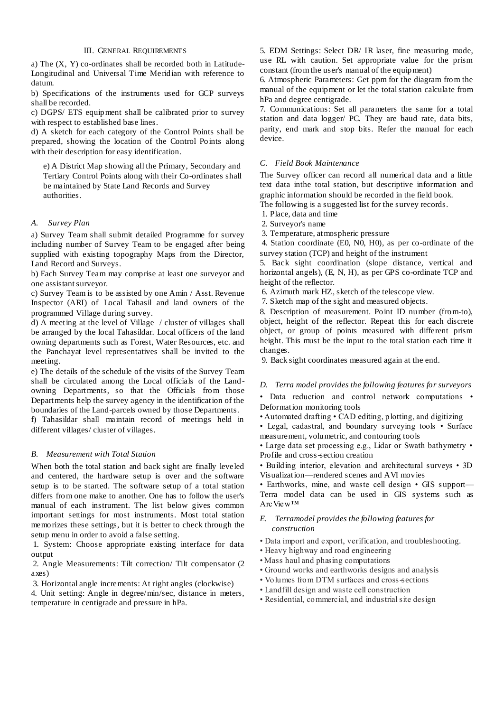## III. GENERAL REQUIREMENTS

a) The (X, Y) co-ordinates shall be recorded both in Latitude-Longitudinal and Universal Time Meridian with reference to datum.

b) Specifications of the instruments used for GCP surveys shall be recorded.

c) DGPS/ ETS equipment shall be calibrated prior to survey with respect to established base lines.

d) A sketch for each category of the Control Points shall be prepared, showing the location of the Control Points along with their description for easy identification.

e) A District Map showing all the Primary, Secondary and Tertiary Control Points along with their Co-ordinates shall be maintained by State Land Records and Survey authorities.

#### *A. Survey Plan*

a) Survey Team shall submit detailed Programme for survey including number of Survey Team to be engaged after being supplied with existing topography Maps from the Director, Land Record and Surveys.

b) Each Survey Team may comprise at least one surveyor and one assistant surveyor.

c) Survey Team is to be assisted by one Amin / Asst. Revenue Inspector (ARI) of Local Tahasil and land owners of the programmed Village during survey.

d) A meeting at the level of Village / cluster of villages shall be arranged by the local Tahasildar. Local officers of the land owning departments such as Forest, Water Resources, etc. and the Panchayat level representatives shall be invited to the meeting.

e) The details of the schedule of the visits of the Survey Team shall be circulated among the Local officials of the Landowning Departments, so that the Officials from those Departments help the survey agency in the identification of the boundaries of the Land-parcels owned by those Departments.

f) Tahasildar shall maintain record of meetings held in different villages/ cluster of villages.

# *B. Measurement with Total Station*

When both the total station and back sight are finally leveled and centered, the hardware setup is over and the software setup is to be started. The software setup of a total station differs from one make to another. One has to follow the user's manual of each instrument. The list below gives common important settings for most instruments. Most total station memorizes these settings, but it is better to check through the setup menu in order to avoid a false setting.

1. System: Choose appropriate existing interface for data output

2. Angle Measurements: Tilt correction/ Tilt compensator (2 axes)

3. Horizontal angle increments: At right angles (clockwise)

4. Unit setting: Angle in degree/min/sec, distance in meters, temperature in centigrade and pressure in hPa.

5. EDM Settings: Select DR/ IR laser, fine measuring mode, use RL with caution. Set appropriate value for the prism constant (from the user's manual of the equipment)

6. Atmospheric Parameters: Get ppm for the diagram from the manual of the equipment or let the total station calculate from hPa and degree centigrade.

7. Communications: Set all parameters the same for a total station and data logger/ PC. They are baud rate, data bits, parity, end mark and stop bits. Refer the manual for each device.

### *C. Field Book Maintenance*

The Survey officer can record all numerical data and a little text data inthe total station, but descriptive information and graphic information should be recorded in the field book. The following is a suggested list for the survey records.

1. Place, data and time

2. Surveyor's name

3. Temperature, atmospheric pressure

4. Station coordinate (E0, N0, H0), as per co-ordinate of the survey station (TCP) and height of the instrument

5. Back sight coordination (slope distance, vertical and horizontal angels), (E, N, H), as per GPS co-ordinate TCP and height of the reflector.

6. Azimuth mark HZ, sketch of the telescope view.

7. Sketch map of the sight and measured objects.

8. Description of measurement. Point ID number (from-to), object, height of the reflector. Repeat this for each discrete object, or group of points measured with different prism height. This must be the input to the total station each time it changes.

9. Back sight coordinates measured again at the end.

#### *D. Terra model provides the following features for surveyors*

• Data reduction and control network computations • Deformation monitoring tools

• Automated drafting • CAD editing, plotting, and digitizing

• Legal, cadastral, and boundary surveying tools • Surface measurement, volumetric, and contouring tools

• Large data set processing e.g., Lidar or Swath bathymetry • Profile and cross-section creation

• Building interior, elevation and architectural surveys • 3D Visualization—rendered scenes and AVI movies

• Earthworks, mine, and waste cell design • GIS support-Terra model data can be used in GIS systems such as ArcView™

### *E. Terramodel provides the following features for construction*

- Data import and export, verification, and troubleshooting.
- Heavy highway and road engineering
- Mass haul and phasing computations
- Ground works and earthworks designs and analysis
- Volumes from DTM surfaces and cross-sections
- Landfill design and waste cell construction
- Residential, commercial, and industrial site design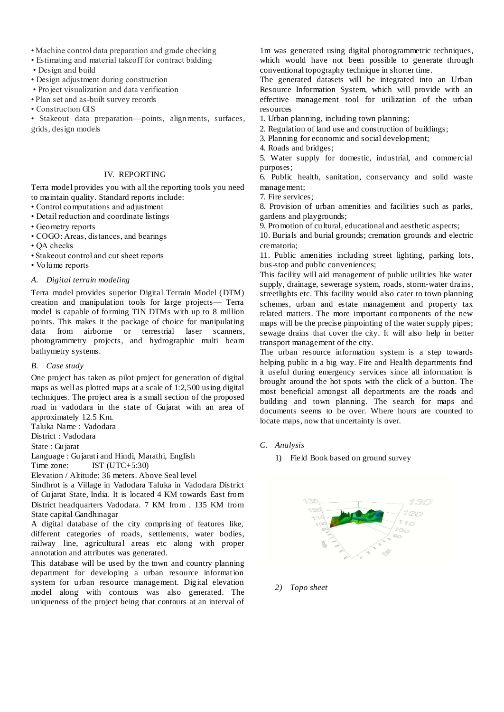- Machine control data preparation and grade checking
- Estimating and material takeoff for contract bidding
- Design and build
- Design adjustment during construction
- Project visualization and data verification
- Plan set and as-built survey records
- Construction GIS

• Stakeout data preparation—points, alignments, surfaces, grids, design models

# IV. REPORTING

Terra model provides you with all the reporting tools you need to maintain quality. Standard reports include:

- Control computations and adjustment
- Detail reduction and coordinate listings
- Geometry reports
- COGO: Areas, distances, and bearings
- QA checks
- Stakeout control and cut sheet reports
- Volume reports

## *A. Digital terrain modeling*

Terra model provides superior Digital Terrain Model (DTM) creation and manipulation tools for large projects— Terra model is capable of forming TIN DTMs with up to 8 million points. This makes it the package of choice for manipulating data from airborne or terrestrial laser scanners, photogrammetry projects, and hydrographic multi beam bathymetry systems.

#### *B. Case study*

One project has taken as pilot project for generation of digital maps as well as plotted maps at a scale of 1:2,500 using digital techniques. The project area is a small section of the proposed road in vadodara in the state of Gujarat with an area of approximately 12.5 Km.

Taluka Name : Vadodara

District : Vadodara

State : Gujarat

Language : Gujarati and Hindi, Marathi, English Time zone: IST (UTC+5:30)

Elevation / Altitude: 36 meters. Above Seal level

Sindhrot is a Village in Vadodara Taluka in Vadodara District of Gujarat State, India. It is located 4 KM towards East from District headquarters Vadodara. 7 KM from . 135 KM from State capital Gandhinagar

A digital database of the city comprising of features like, different categories of roads, settlements, water bodies, railway line, agricultural areas etc along with proper annotation and attributes was generated.

This database will be used by the town and country planning department for developing a urban resource information system for urban resource management. Digital elevation model along with contours was also generated. The uniqueness of the project being that contours at an interval of

1m was generated using digital photogrammetric techniques, which would have not been possible to generate through conventional topography technique in shorter time.

The generated datasets will be integrated into an Urban Resource Information System, which will provide with an effective management tool for utilization of the urban resources

- 1. Urban planning, including town planning;
- 2. Regulation of land use and construction of buildings;
- 3. Planning for economic and social development;
- 4. Roads and bridges;

5. Water supply for domestic, industrial, and commercial purposes;

6. Public health, sanitation, conservancy and solid waste management;

7. Fire services;

8. Provision of urban amenities and facilities such as parks, gardens and playgrounds;

9. Promotion of cultural, educational and aesthetic aspects:

10. Burials and burial grounds; cremation grounds and electric crematoria;

11. Public amenities including street lighting, parking lots, bus-stop and public conveniences;

This facility will aid management of public utilities like water supply, drainage, sewerage system, roads, storm-water drains, streetlights etc. This facility would also cater to town planning schemes, urban and estate management and property tax related matters. The more important components of the new maps will be the precise pinpointing of the water supply pipes; sewage drains that cover the city. It will also help in better transport management of the city.

The urban resource information system is a step towards helping public in a big way. Fire and Health departments find it useful during emergency services since all information is brought around the hot spots with the click of a button. The most beneficial amongst all departments are the roads and building and town planning. The search for maps and documents seems to be over. Where hours are counted to locate maps, now that uncertainty is over.

- *C. Analysis*
	- 1) [Field Book based on ground survey](file:///D:\DJMIT\SURVEYING%20PAPER\FieldBook.xls)



#### *2) [Topo sheet](file:///D:\DJMIT\SURVEYING%20PAPER\TopoDraw.xls)*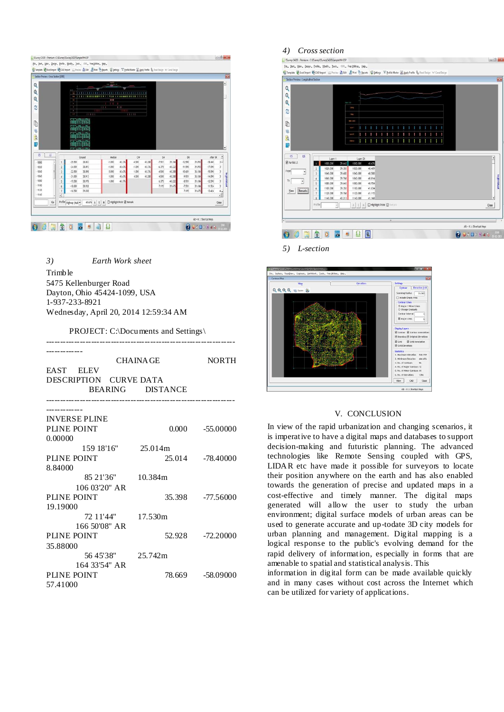| Q                                                |                          |                                                                             |                                                                         |               |                                               |                   |        |          |        |           |        |           |                        |
|--------------------------------------------------|--------------------------|-----------------------------------------------------------------------------|-------------------------------------------------------------------------|---------------|-----------------------------------------------|-------------------|--------|----------|--------|-----------|--------|-----------|------------------------|
| Q<br>Q<br>đ<br>Ò<br>蓉<br>q<br>B                  |                          | ł<br>ı<br>$\,$<br>٠<br>٠<br>$\overline{a}$<br><b>STEP</b><br><b>ALCOHOL</b> | 111111111<br><b>IT IT IT IT IS SEEN OF \$PER HIS IT IS NO </b><br>11111 | ш<br>1111     | <b>I * # # # # # # # # # # # # # #</b><br>111 | 1111111<br>\$1111 |        |          |        |           |        |           |                        |
| G<br><b>is</b>                                   |                          |                                                                             | Ground                                                                  | <b>Hedian</b> |                                               | $C\mathcal{H}$    |        | R        |        | OR        |        | After DR  | Δ                      |
|                                                  |                          | $-25.500$                                                                   | 38.883                                                                  | $-1.000$      | 40.376                                        | $-4.500$          | 40.288 | $-7.931$ | 39.184 | $-12.590$ | 39.093 | $-18.440$ | 3-                     |
|                                                  |                          |                                                                             |                                                                         |               | 45.676                                        | $-1.000$          | 45.376 | $-4.275$ | 40.222 | $-11.590$ | 39.093 | $-17.590$ | s.                     |
| 1000                                             | 1                        | $-24.000$                                                                   | 38.893                                                                  | $-1,000$      |                                               |                   |        |          |        |           |        |           |                        |
| $-1020$<br>1045                                  | $\frac{3}{2}$            | $-22.500$                                                                   | 38,898                                                                  | 0.000         | 40.676                                        | 1.000             | 40.376 | $-4.500$ | 40.288 | $-10.681$ | 38.184 | $-15.590$ |                        |
|                                                  | $\,$<br>¥                | $-21.000$                                                                   | 38.913                                                                  | 1,000         | 42.676                                        | 4,500             | 40.288 | 4.500    | 40.288 | $-9.931$  | 38.184 | $-14.090$ | $\,$ $\,$<br>$\,$ $\,$ |
|                                                  | $\overline{\phantom{a}}$ | $-19.500$                                                                   | 38.978                                                                  | 1,000         | 48.376                                        |                   |        | 6.375    | 40.222 | $-4.931$  | 29.184 | $-12.590$ | $\overline{1}$         |
|                                                  | $\epsilon$               | $-18.000$                                                                   | 38.928                                                                  |               |                                               |                   |        | 7.195    | 39.675 | $-7.931$  | 39.184 | 11,924    | $\mathbf{3}$           |
|                                                  | $\overline{1}$           | $-16,500$                                                                   | 39.038                                                                  |               |                                               |                   |        |          |        | 7,195     | 39.675 | 13.424    | 4,                     |
| $-1060$<br>$-1080$<br>1100<br>$-1120$<br>$-1140$ | $\vert$                  |                                                                             |                                                                         |               |                                               |                   |        |          |        |           |        |           | ъff                    |

*3) [Earth Work sheet](file:///D:\DJMIT\SURVEYING%20PAPER\EarthWork.xls)*

Trimble 5475 Kellenburger Road Dayton, Ohio 45424-1099, USA 1-937-233-8921 Wednesday, April 20, 2014 12:59:34 AM

PROJECT: C:\Documents and Settings\

|                        | CHAINA GE        |                   |  |  |  |  |  |  |
|------------------------|------------------|-------------------|--|--|--|--|--|--|
| EAST ELEV              |                  |                   |  |  |  |  |  |  |
| DESCRIPTION CURVE DATA |                  |                   |  |  |  |  |  |  |
|                        | BEARING DISTANCE |                   |  |  |  |  |  |  |
|                        |                  |                   |  |  |  |  |  |  |
| <b>INVERSE PLINE</b>   |                  |                   |  |  |  |  |  |  |
| PLINE POINT            |                  | $0.000 -55.00000$ |  |  |  |  |  |  |
| 0.00000                |                  |                   |  |  |  |  |  |  |
| 159 18'16" 25.014m     |                  |                   |  |  |  |  |  |  |
| PLINE POINT            |                  | 25.014 -78.40000  |  |  |  |  |  |  |
| 8.84000                |                  |                   |  |  |  |  |  |  |
| 85 21'36" 10.384m      |                  |                   |  |  |  |  |  |  |
| 106 03'20" AR          |                  |                   |  |  |  |  |  |  |
| PLINE POINT            |                  | 35.398 -77.56000  |  |  |  |  |  |  |
| 19.19000               |                  |                   |  |  |  |  |  |  |
| 72 11'44" 17.530m      |                  |                   |  |  |  |  |  |  |
| 166 50'08" AR          |                  |                   |  |  |  |  |  |  |
| PLINE POINT            |                  | 52.928 -72.20000  |  |  |  |  |  |  |
| 35.88000               |                  |                   |  |  |  |  |  |  |
| 56 45'38" 25.742m      |                  |                   |  |  |  |  |  |  |
| 164 33'54" AR          |                  |                   |  |  |  |  |  |  |
| PLINE POINT            |                  | 78.669 - 58.09000 |  |  |  |  |  |  |
| 57.41000               |                  |                   |  |  |  |  |  |  |

# *4) [Cross section](file:///D:\DJMIT\SURVEYING%20PAPER\C-S.jpg)*

| S Template Gi Excellingont Gi CAD Import E Preview La Edit E Thirt @ Beports W Settings "IT Profile Master IL Apply Profile Up Road Design W Canal Design |                        |                      |                  |                      |          |           |                  |                          |  |              |  |  |  |  |  |                          |                     |
|-----------------------------------------------------------------------------------------------------------------------------------------------------------|------------------------|----------------------|------------------|----------------------|----------|-----------|------------------|--------------------------|--|--------------|--|--|--|--|--|--------------------------|---------------------|
| Section Preview :: Longitudinal Section                                                                                                                   |                        |                      |                  |                      |          |           |                  |                          |  |              |  |  |  |  |  |                          |                     |
| Q                                                                                                                                                         |                        |                      |                  |                      |          |           |                  |                          |  |              |  |  |  |  |  |                          |                     |
| Q                                                                                                                                                         |                        |                      |                  |                      |          |           |                  |                          |  |              |  |  |  |  |  |                          |                     |
| Q                                                                                                                                                         |                        |                      |                  | Start 30             |          |           |                  |                          |  |              |  |  |  |  |  |                          |                     |
|                                                                                                                                                           |                        |                      |                  | tan.                 |          |           |                  |                          |  |              |  |  |  |  |  |                          |                     |
| ¢                                                                                                                                                         |                        |                      |                  | raq.                 |          |           |                  |                          |  |              |  |  |  |  |  |                          |                     |
|                                                                                                                                                           |                        |                      |                  | 325,220              |          |           |                  |                          |  |              |  |  |  |  |  |                          |                     |
| ¢                                                                                                                                                         |                        |                      |                  | a er                 |          |           |                  |                          |  |              |  |  |  |  |  |                          |                     |
| 鬈                                                                                                                                                         |                        |                      |                  | 語を記                  |          |           |                  |                          |  |              |  |  |  |  |  |                          |                     |
| $\mathsf{Q}$                                                                                                                                              |                        |                      |                  |                      |          |           |                  |                          |  |              |  |  |  |  |  |                          |                     |
| ₿                                                                                                                                                         |                        |                      |                  | <b>SERVICE</b>       |          |           |                  |                          |  |              |  |  |  |  |  |                          |                     |
|                                                                                                                                                           |                        |                      |                  |                      |          |           |                  |                          |  |              |  |  |  |  |  |                          |                     |
| LS<br>$\mathsf{CS}$                                                                                                                                       |                        | Layer 1              |                  |                      | Layer 21 |           |                  |                          |  |              |  |  |  |  |  |                          | $\hat{\phantom{a}}$ |
| <b>Z</b> Partial LS                                                                                                                                       |                        | 1000.000             | 39.643           | 1000.000             |          |           | 40.676           |                          |  |              |  |  |  |  |  |                          |                     |
| From                                                                                                                                                      | 2                      | 1020.000             | 39.353           |                      | 1020.000 |           | 40.409           |                          |  |              |  |  |  |  |  |                          |                     |
| ٠                                                                                                                                                         | $\mathbf{3}$           | 1040.000             | 39.683           | 1040.000             |          |           | 40.588           |                          |  |              |  |  |  |  |  |                          |                     |
| To<br>$\hat{\mathbf{v}}$                                                                                                                                  | $\ddot{\text{+}}$<br>5 | 1060,000<br>1080.000 | 39,768<br>39.643 | 1060,000<br>1080.000 |          |           | 40.814<br>40.954 |                          |  |              |  |  |  |  |  |                          |                     |
|                                                                                                                                                           | 6                      | 1100.000             | 39.353           | 1100.000             |          |           | 41.034           |                          |  |              |  |  |  |  |  |                          |                     |
| Remarks<br><b>Yiew</b>                                                                                                                                    | $\overline{1}$         | 1120.000             | 39.768           | 1120.000             |          |           | 41.115           |                          |  |              |  |  |  |  |  |                          |                     |
|                                                                                                                                                           | $\overline{8}$         | 1140.000             | 40.213           | 1140.000             |          |           | 41.168           |                          |  |              |  |  |  |  |  |                          | ٠                   |
|                                                                                                                                                           | Profile                |                      |                  | <b>A</b> E           |          | $\lambda$ |                  | Highlight Point & Remark |  |              |  |  |  |  |  |                          | Close               |
|                                                                                                                                                           |                        |                      |                  |                      |          |           |                  |                          |  |              |  |  |  |  |  |                          |                     |
|                                                                                                                                                           |                        |                      |                  |                      |          |           |                  |                          |  |              |  |  |  |  |  |                          |                     |
|                                                                                                                                                           |                        |                      |                  |                      |          |           |                  |                          |  | $\mathbf{H}$ |  |  |  |  |  | Alt + K :: Shortcut Keys |                     |

*5) [L-section](file:///D:\DJMIT\SURVEYING%20PAPER\L-S.jpg)*



# V. CONCLUSION

In view of the rapid urbanization and changing scenarios, it is imperative to have a digital maps and databases to support decision-making and futuristic planning. The advanced technologies like Remote Sensing coupled with GPS, LIDAR etc have made it possible for surveyors to locate their position anywhere on the earth and has also enabled towards the generation of precise and updated maps in a cost-effective and timely manner. The digital maps generated will allow the user to study the urban environment; digital surface models of urban areas can be used to generate accurate and up-todate 3D city models for urban planning and management. Digital mapping is a logical response to the public's evolving demand for the rapid delivery of information, especially in forms that are amenable to spatial and statistical analysis. This

information in digital form can be made available quickly and in many cases without cost across the Internet which can be utilized for variety of applications.